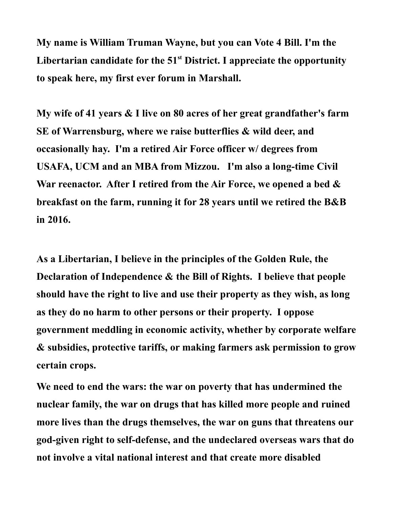**My name is William Truman Wayne, but you can Vote 4 Bill. I'm the Libertarian candidate for the 51st District. I appreciate the opportunity to speak here, my first ever forum in Marshall.** 

**My wife of 41 years & I live on 80 acres of her great grandfather's farm SE of Warrensburg, where we raise butterflies & wild deer, and occasionally hay. I'm a retired Air Force officer w/ degrees from USAFA, UCM and an MBA from Mizzou. I'm also a long-time Civil War reenactor. After I retired from the Air Force, we opened a bed & breakfast on the farm, running it for 28 years until we retired the B&B in 2016.**

**As a Libertarian, I believe in the principles of the Golden Rule, the Declaration of Independence & the Bill of Rights. I believe that people should have the right to live and use their property as they wish, as long as they do no harm to other persons or their property. I oppose government meddling in economic activity, whether by corporate welfare & subsidies, protective tariffs, or making farmers ask permission to grow certain crops.** 

**We need to end the wars: the war on poverty that has undermined the nuclear family, the war on drugs that has killed more people and ruined more lives than the drugs themselves, the war on guns that threatens our god-given right to self-defense, and the undeclared overseas wars that do not involve a vital national interest and that create more disabled**